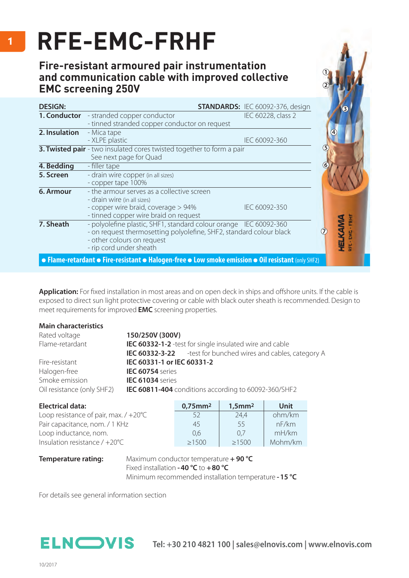## **RFE-EMC-FRHF**

## **Fire-resistant armoured pair instrumentation and communication cable with improved collective EMC screening 250V**

| <b>DESIGN:</b> |                                                                                                                                                                                                   | <b>STANDARDS: IEC 60092-376, design</b> |    |
|----------------|---------------------------------------------------------------------------------------------------------------------------------------------------------------------------------------------------|-----------------------------------------|----|
|                | <b>1. Conductor</b> - stranded copper conductor<br>- tinned stranded copper conductor on request                                                                                                  | IEC 60228, class 2                      |    |
| 2. Insulation  | - Mica tape<br>- XLPE plastic                                                                                                                                                                     | IEC 60092-360                           |    |
|                | 3. Twisted pair - two insulated cores twisted together to form a pair<br>See next page for Quad                                                                                                   |                                         |    |
| 4. Bedding     | - filler tape                                                                                                                                                                                     |                                         | 66 |
| 5. Screen      | - drain wire copper (in all sizes)<br>- copper tape 100%                                                                                                                                          |                                         |    |
| 6. Armour      | - the armour serves as a collective screen<br>- drain wire (in all sizes)<br>- copper wire braid, coverage > 94%<br>- tinned copper wire braid on request                                         | IEC 60092-350                           |    |
| 7. Sheath      | - polyolefine plastic, SHF1, standard colour orange IEC 60092-360<br>- on request thermosetting polyolefine, SHF2, standard colour black<br>- other colours on request<br>- rip cord under sheath |                                         |    |
|                | • Flame-retardant • Fire-resistant • Halogen-free • Low smoke emission • Oil resistant (only SHF2)                                                                                                |                                         |    |

**Application:** For fixed installation in most areas and on open deck in ships and offshore units. If the cable is exposed to direct sun light protective covering or cable with black outer sheath is recommended. Design to meet requirements for improved **EMC** screening properties.

| <b>Main characteristics</b>                                                        |                                                                       |  |
|------------------------------------------------------------------------------------|-----------------------------------------------------------------------|--|
| Rated voltage                                                                      | 150/250V (300V)                                                       |  |
| Flame-retardant                                                                    | <b>IEC 60332-1-2</b> -test for single insulated wire and cable        |  |
|                                                                                    | <b>IEC 60332-3-22</b> - test for bunched wires and cables, category A |  |
| Fire-resistant                                                                     | IEC 60331-1 or IEC 60331-2                                            |  |
| Halogen-free                                                                       | IEC 60754 series                                                      |  |
| Smoke emission                                                                     | IEC 61034 series                                                      |  |
| Oil resistance (only SHF2)<br>IEC 60811-404 conditions according to 60092-360/SHF2 |                                                                       |  |

| <b>Electrical data:</b>                        | $0,75$ mm <sup>2</sup> | $1,5$ mm $2$ | Unit    |
|------------------------------------------------|------------------------|--------------|---------|
| Loop resistance of pair, max. $/ +20^{\circ}C$ | 52                     | 24.4         | ohm/km  |
| Pair capacitance, nom. / 1 KHz                 | 45                     | -55          | nF/km   |
| Loop inductance, nom.                          | 0.6                    | 0.7          | mH/km   |
| Insulation resistance $/ +20^{\circ}C$         | >1500                  | >1500        | Mohm/km |

**Temperature rating:** Maximum conductor temperature **+ 90 °C**  Fixed installation **- 40 °C** to **+80 °C** Minimum recommended installation temperature **- 15 °C**

For details see general information section